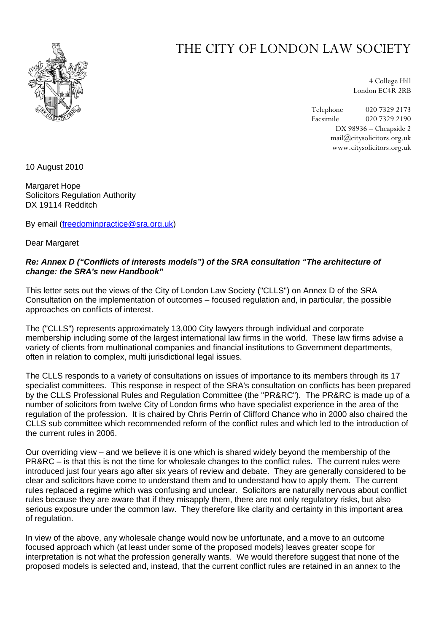

## THE CITY OF LONDON LAW SOCIETY

4 College Hill London EC4R 2RB

Telephone 020 7329 2173 Facsimile 020 7329 2190 DX 98936 – Cheapside 2 mail@citysolicitors.org.uk www.citysolicitors.org.uk

10 August 2010

Margaret Hope Solicitors Regulation Authority DX 19114 Redditch

By email ([freedominpractice@sra.org.uk](mailto:freedominpractice@sra.org.uk))

Dear Margaret

## *Re: Annex D ("Conflicts of interests models") of the SRA consultation "The architecture of change: the SRA's new Handbook"*

This letter sets out the views of the City of London Law Society ("CLLS") on Annex D of the SRA Consultation on the implementation of outcomes – focused regulation and, in particular, the possible approaches on conflicts of interest.

The ("CLLS") represents approximately 13,000 City lawyers through individual and corporate membership including some of the largest international law firms in the world. These law firms advise a variety of clients from multinational companies and financial institutions to Government departments, often in relation to complex, multi jurisdictional legal issues.

The CLLS responds to a variety of consultations on issues of importance to its members through its 17 specialist committees. This response in respect of the SRA's consultation on conflicts has been prepared by the CLLS Professional Rules and Regulation Committee (the "PR&RC"). The PR&RC is made up of a number of solicitors from twelve City of London firms who have specialist experience in the area of the regulation of the profession. It is chaired by Chris Perrin of Clifford Chance who in 2000 also chaired the CLLS sub committee which recommended reform of the conflict rules and which led to the introduction of the current rules in 2006.

Our overriding view – and we believe it is one which is shared widely beyond the membership of the PR&RC – is that this is not the time for wholesale changes to the conflict rules. The current rules were introduced just four years ago after six years of review and debate. They are generally considered to be clear and solicitors have come to understand them and to understand how to apply them. The current rules replaced a regime which was confusing and unclear. Solicitors are naturally nervous about conflict rules because they are aware that if they misapply them, there are not only regulatory risks, but also serious exposure under the common law. They therefore like clarity and certainty in this important area of regulation.

In view of the above, any wholesale change would now be unfortunate, and a move to an outcome focused approach which (at least under some of the proposed models) leaves greater scope for interpretation is not what the profession generally wants. We would therefore suggest that none of the proposed models is selected and, instead, that the current conflict rules are retained in an annex to the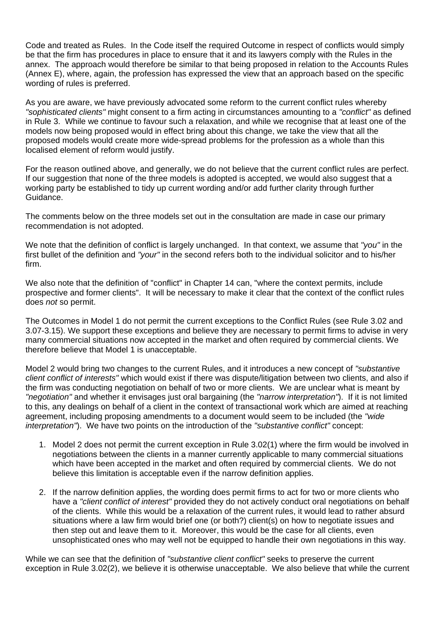Code and treated as Rules. In the Code itself the required Outcome in respect of conflicts would simply be that the firm has procedures in place to ensure that it and its lawyers comply with the Rules in the annex. The approach would therefore be similar to that being proposed in relation to the Accounts Rules (Annex E), where, again, the profession has expressed the view that an approach based on the specific wording of rules is preferred.

As you are aware, we have previously advocated some reform to the current conflict rules whereby *"sophisticated clients"* might consent to a firm acting in circumstances amounting to a *"conflict"* as defined in Rule 3. While we continue to favour such a relaxation, and while we recognise that at least one of the models now being proposed would in effect bring about this change, we take the view that all the proposed models would create more wide-spread problems for the profession as a whole than this localised element of reform would justify.

For the reason outlined above, and generally, we do not believe that the current conflict rules are perfect. If our suggestion that none of the three models is adopted is accepted, we would also suggest that a working party be established to tidy up current wording and/or add further clarity through further Guidance.

The comments below on the three models set out in the consultation are made in case our primary recommendation is not adopted.

We note that the definition of conflict is largely unchanged. In that context, we assume that *"you"* in the first bullet of the definition and *"your"* in the second refers both to the individual solicitor and to his/her firm.

We also note that the definition of "conflict" in Chapter 14 can, "where the context permits, include prospective and former clients". It will be necessary to make it clear that the context of the conflict rules does *not* so permit.

The Outcomes in Model 1 do not permit the current exceptions to the Conflict Rules (see Rule 3.02 and 3.07-3.15). We support these exceptions and believe they are necessary to permit firms to advise in very many commercial situations now accepted in the market and often required by commercial clients. We therefore believe that Model 1 is unacceptable.

Model 2 would bring two changes to the current Rules, and it introduces a new concept of *"substantive client conflict of interests"* which would exist if there was dispute/litigation between two clients, and also if the firm was conducting negotiation on behalf of two or more clients. We are unclear what is meant by *"negotiation"* and whether it envisages just oral bargaining (the *"narrow interpretation"*). If it is not limited to this, any dealings on behalf of a client in the context of transactional work which are aimed at reaching agreement, including proposing amendments to a document would seem to be included (the *"wide interpretation"*). We have two points on the introduction of the *"substantive conflict"* concept:

- 1. Model 2 does not permit the current exception in Rule 3.02(1) where the firm would be involved in negotiations between the clients in a manner currently applicable to many commercial situations which have been accepted in the market and often required by commercial clients. We do not believe this limitation is acceptable even if the narrow definition applies.
- 2. If the narrow definition applies, the wording does permit firms to act for two or more clients who have a *"client conflict of interest"* provided they do not actively conduct oral negotiations on behalf of the clients. While this would be a relaxation of the current rules, it would lead to rather absurd situations where a law firm would brief one (or both?) client(s) on how to negotiate issues and then step out and leave them to it. Moreover, this would be the case for all clients, even unsophisticated ones who may well not be equipped to handle their own negotiations in this way.

While we can see that the definition of *"substantive client conflict"* seeks to preserve the current exception in Rule 3.02(2), we believe it is otherwise unacceptable. We also believe that while the current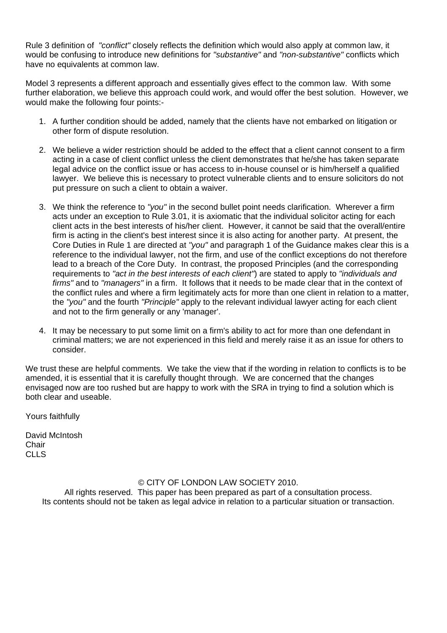Rule 3 definition of *"conflict"* closely reflects the definition which would also apply at common law, it would be confusing to introduce new definitions for *"substantive"* and *"non-substantive"* conflicts which have no equivalents at common law.

Model 3 represents a different approach and essentially gives effect to the common law. With some further elaboration, we believe this approach could work, and would offer the best solution. However, we would make the following four points:-

- 1. A further condition should be added, namely that the clients have not embarked on litigation or other form of dispute resolution.
- 2. We believe a wider restriction should be added to the effect that a client cannot consent to a firm acting in a case of client conflict unless the client demonstrates that he/she has taken separate legal advice on the conflict issue or has access to in-house counsel or is him/herself a qualified lawyer. We believe this is necessary to protect vulnerable clients and to ensure solicitors do not put pressure on such a client to obtain a waiver.
- 3. We think the reference to *"you"* in the second bullet point needs clarification. Wherever a firm acts under an exception to Rule 3.01, it is axiomatic that the individual solicitor acting for each client acts in the best interests of his/her client. However, it cannot be said that the overall/entire firm is acting in the client's best interest since it is also acting for another party. At present, the Core Duties in Rule 1 are directed at *"you"* and paragraph 1 of the Guidance makes clear this is a reference to the individual lawyer, not the firm, and use of the conflict exceptions do not therefore lead to a breach of the Core Duty. In contrast, the proposed Principles (and the corresponding requirements to *"act in the best interests of each client"*) are stated to apply to *"individuals and firms"* and to *"managers"* in a firm. It follows that it needs to be made clear that in the context of the conflict rules and where a firm legitimately acts for more than one client in relation to a matter, the *"you"* and the fourth *"Principle"* apply to the relevant individual lawyer acting for each client and not to the firm generally or any 'manager'.
- 4. It may be necessary to put some limit on a firm's ability to act for more than one defendant in criminal matters; we are not experienced in this field and merely raise it as an issue for others to consider.

We trust these are helpful comments. We take the view that if the wording in relation to conflicts is to be amended, it is essential that it is carefully thought through. We are concerned that the changes envisaged now are too rushed but are happy to work with the SRA in trying to find a solution which is both clear and useable.

Yours faithfully

David McIntosh **Chair**  $CILS$ 

## © CITY OF LONDON LAW SOCIETY 2010.

All rights reserved. This paper has been prepared as part of a consultation process. Its contents should not be taken as legal advice in relation to a particular situation or transaction.